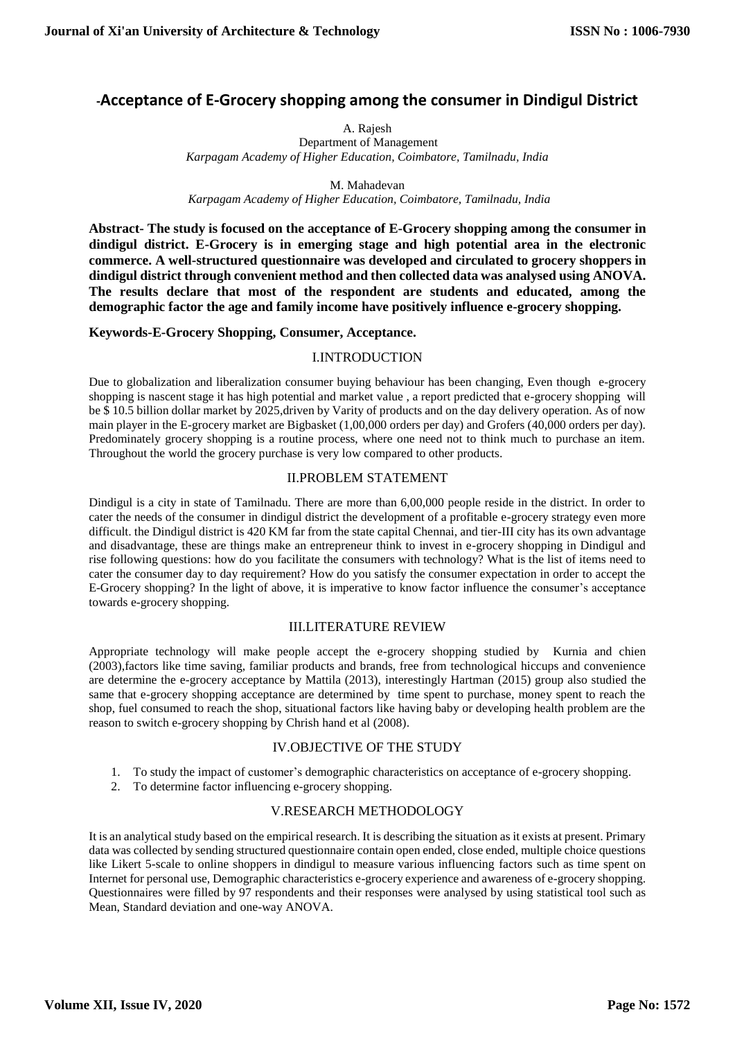# **-Acceptance of E-Grocery shopping among the consumer in Dindigul District**

A. Rajesh

Department of Management *Karpagam Academy of Higher Education, Coimbatore, Tamilnadu, India*

M. Mahadevan

 *Karpagam Academy of Higher Education, Coimbatore, Tamilnadu, India*

**Abstract- The study is focused on the acceptance of E-Grocery shopping among the consumer in dindigul district. E-Grocery is in emerging stage and high potential area in the electronic commerce. A well-structured questionnaire was developed and circulated to grocery shoppers in dindigul district through convenient method and then collected data was analysed using ANOVA. The results declare that most of the respondent are students and educated, among the demographic factor the age and family income have positively influence e-grocery shopping.**

# **Keywords-E-Grocery Shopping, Consumer, Acceptance.**

# I.INTRODUCTION

Due to globalization and liberalization consumer buying behaviour has been changing, Even though e-grocery shopping is nascent stage it has high potential and market value , a report predicted that e-grocery shopping will be \$ 10.5 billion dollar market by 2025,driven by Varity of products and on the day delivery operation. As of now main player in the E-grocery market are Bigbasket (1,00,000 orders per day) and Grofers (40,000 orders per day). Predominately grocery shopping is a routine process, where one need not to think much to purchase an item. Throughout the world the grocery purchase is very low compared to other products.

# II.PROBLEM STATEMENT

Dindigul is a city in state of Tamilnadu. There are more than 6,00,000 people reside in the district. In order to cater the needs of the consumer in dindigul district the development of a profitable e-grocery strategy even more difficult. the Dindigul district is 420 KM far from the state capital Chennai, and tier-III city has its own advantage and disadvantage, these are things make an entrepreneur think to invest in e-grocery shopping in Dindigul and rise following questions: how do you facilitate the consumers with technology? What is the list of items need to cater the consumer day to day requirement? How do you satisfy the consumer expectation in order to accept the E-Grocery shopping? In the light of above, it is imperative to know factor influence the consumer's acceptance towards e-grocery shopping.

### III.LITERATURE REVIEW

Appropriate technology will make people accept the e-grocery shopping studied by Kurnia and chien (2003),factors like time saving, familiar products and brands, free from technological hiccups and convenience are determine the e-grocery acceptance by Mattila (2013), interestingly Hartman (2015) group also studied the same that e-grocery shopping acceptance are determined by time spent to purchase, money spent to reach the shop, fuel consumed to reach the shop, situational factors like having baby or developing health problem are the reason to switch e-grocery shopping by Chrish hand et al (2008).

### IV.OBJECTIVE OF THE STUDY

- 1. To study the impact of customer's demographic characteristics on acceptance of e-grocery shopping.
- 2. To determine factor influencing e-grocery shopping.

### V.RESEARCH METHODOLOGY

It is an analytical study based on the empirical research. It is describing the situation as it exists at present. Primary data was collected by sending structured questionnaire contain open ended, close ended, multiple choice questions like Likert 5-scale to online shoppers in dindigul to measure various influencing factors such as time spent on Internet for personal use, Demographic characteristics e-grocery experience and awareness of e-grocery shopping. Questionnaires were filled by 97 respondents and their responses were analysed by using statistical tool such as Mean, Standard deviation and one-way ANOVA.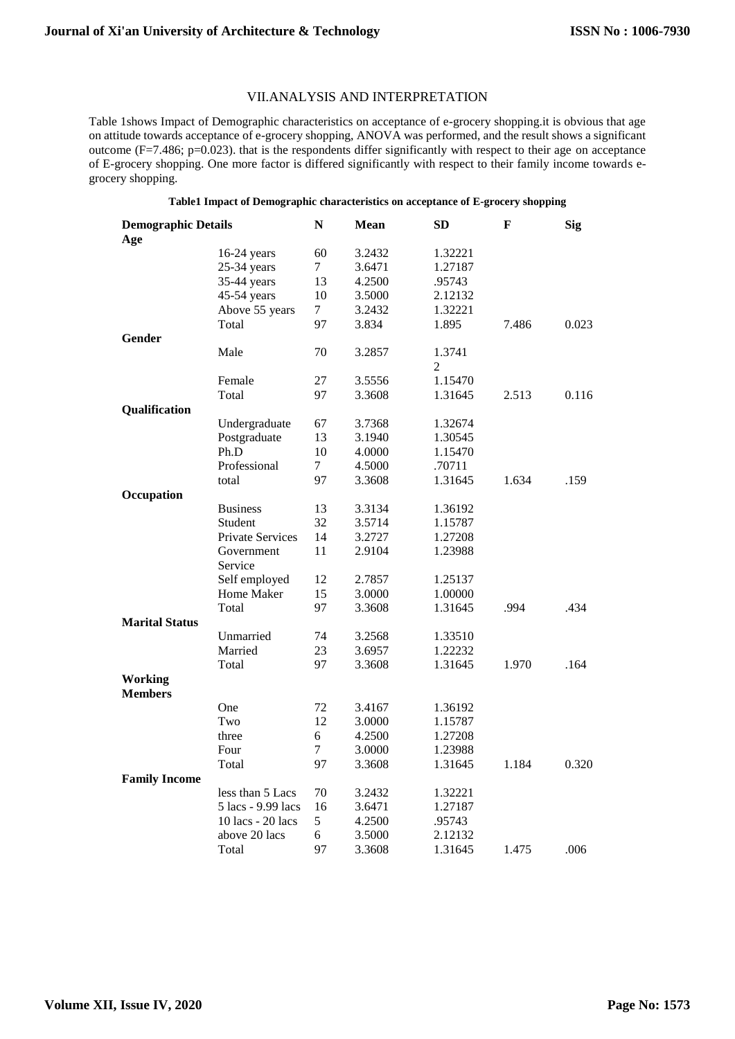#### VII.ANALYSIS AND INTERPRETATION

Table 1shows Impact of Demographic characteristics on acceptance of e-grocery shopping.it is obvious that age on attitude towards acceptance of e-grocery shopping, ANOVA was performed, and the result shows a significant outcome (F=7.486; p=0.023). that is the respondents differ significantly with respect to their age on acceptance of E-grocery shopping. One more factor is differed significantly with respect to their family income towards egrocery shopping.

### **Table1 Impact of Demographic characteristics on acceptance of E-grocery shopping**

| <b>Demographic Details</b>       |                    | N      | <b>Mean</b> | $\mathbf{SD}$ | F     | <b>Sig</b> |
|----------------------------------|--------------------|--------|-------------|---------------|-------|------------|
| Age                              |                    |        |             |               |       |            |
|                                  | 16-24 years        | 60     | 3.2432      | 1.32221       |       |            |
|                                  | $25-34$ years      | 7      | 3.6471      | 1.27187       |       |            |
|                                  | 35-44 years        | 13     | 4.2500      | .95743        |       |            |
|                                  | 45-54 years        | 10     | 3.5000      | 2.12132       |       |            |
|                                  | Above 55 years     | $\tau$ | 3.2432      | 1.32221       |       |            |
|                                  | Total              | 97     | 3.834       | 1.895         | 7.486 | 0.023      |
| Gender                           |                    |        |             |               |       |            |
|                                  | Male               | 70     | 3.2857      | 1.3741        |       |            |
|                                  |                    |        |             | 2             |       |            |
|                                  | Female             | 27     | 3.5556      | 1.15470       |       |            |
|                                  | Total              | 97     | 3.3608      | 1.31645       | 2.513 | 0.116      |
| Qualification                    |                    |        |             |               |       |            |
|                                  | Undergraduate      | 67     | 3.7368      | 1.32674       |       |            |
|                                  | Postgraduate       | 13     | 3.1940      | 1.30545       |       |            |
|                                  | Ph.D               | 10     | 4.0000      | 1.15470       |       |            |
|                                  | Professional       | 7      | 4.5000      | .70711        |       |            |
|                                  | total              | 97     | 3.3608      | 1.31645       | 1.634 | .159       |
| Occupation                       |                    |        |             |               |       |            |
|                                  | <b>Business</b>    | 13     | 3.3134      | 1.36192       |       |            |
|                                  | Student            | 32     | 3.5714      | 1.15787       |       |            |
|                                  | Private Services   | 14     | 3.2727      | 1.27208       |       |            |
|                                  | Government         | 11     | 2.9104      | 1.23988       |       |            |
|                                  | Service            |        |             |               |       |            |
|                                  | Self employed      | 12     | 2.7857      | 1.25137       |       |            |
|                                  | Home Maker         | 15     | 3.0000      | 1.00000       |       |            |
|                                  | Total              | 97     | 3.3608      | 1.31645       | .994  | .434       |
| <b>Marital Status</b>            |                    |        |             |               |       |            |
|                                  | Unmarried          | 74     | 3.2568      | 1.33510       |       |            |
|                                  | Married            | 23     | 3.6957      | 1.22232       |       |            |
|                                  | Total              | 97     | 3.3608      | 1.31645       | 1.970 | .164       |
| <b>Working</b><br><b>Members</b> |                    |        |             |               |       |            |
|                                  | One                | 72     | 3.4167      | 1.36192       |       |            |
|                                  | Two                | 12     | 3.0000      | 1.15787       |       |            |
|                                  | three              | 6      | 4.2500      | 1.27208       |       |            |
|                                  | Four               | 7      | 3.0000      | 1.23988       |       |            |
|                                  | Total              | 97     | 3.3608      | 1.31645       | 1.184 | 0.320      |
| <b>Family Income</b>             |                    |        |             |               |       |            |
|                                  | less than 5 Lacs   | 70     | 3.2432      | 1.32221       |       |            |
|                                  | 5 lacs - 9.99 lacs | 16     | 3.6471      | 1.27187       |       |            |
|                                  | 10 lacs - 20 lacs  | 5      | 4.2500      | .95743        |       |            |
|                                  | above 20 lacs      | 6      | 3.5000      | 2.12132       |       |            |
|                                  | Total              | 97     | 3.3608      | 1.31645       | 1.475 | .006       |